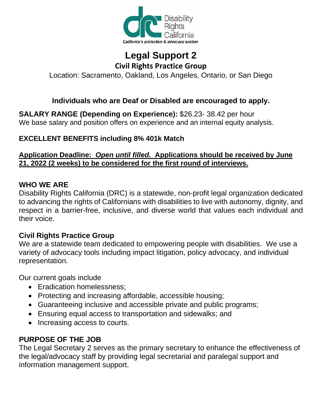

# **Legal Support 2 Civil Rights Practice Group**

Location: Sacramento, Oakland, Los Angeles, Ontario, or San Diego

## **Individuals who are Deaf or Disabled are encouraged to apply.**

**SALARY RANGE (Depending on Experience):** [\\$26.23-](http://26.23-/) [38.42](http://38.0.0.42/) per hour We base salary and position offers on experience and an internal equity analysis.

#### **EXCELLENT BENEFITS including 8% 401k Match**

#### **Application Deadline:** *Open until filled.* **[Applications should be received](http://www.disabilityrightsca.org/Jobs/index.htm) by June 21, 2022 (2 weeks) to be considered for the first round of interviews.**

#### **WHO WE ARE**

Disability Rights California (DRC) is a statewide, non-profit legal organization dedicated to advancing the rights of Californians with disabilities to live with autonomy, dignity, and respect in a barrier-free, inclusive, and diverse world that values each individual and their voice.

#### **Civil Rights Practice Group**

We are a statewide team dedicated to empowering people with disabilities. We use a variety of advocacy tools including impact litigation, policy advocacy, and individual representation.

Our current goals include

- Eradication homelessness:
- Protecting and increasing affordable, accessible housing;
- Guaranteeing inclusive and accessible private and public programs;
- Ensuring equal access to transportation and sidewalks; and
- Increasing access to courts.

## **PURPOSE OF THE JOB**

The Legal Secretary 2 serves as the primary secretary to enhance the effectiveness of the legal/advocacy staff by providing legal secretarial and paralegal support and information management support.